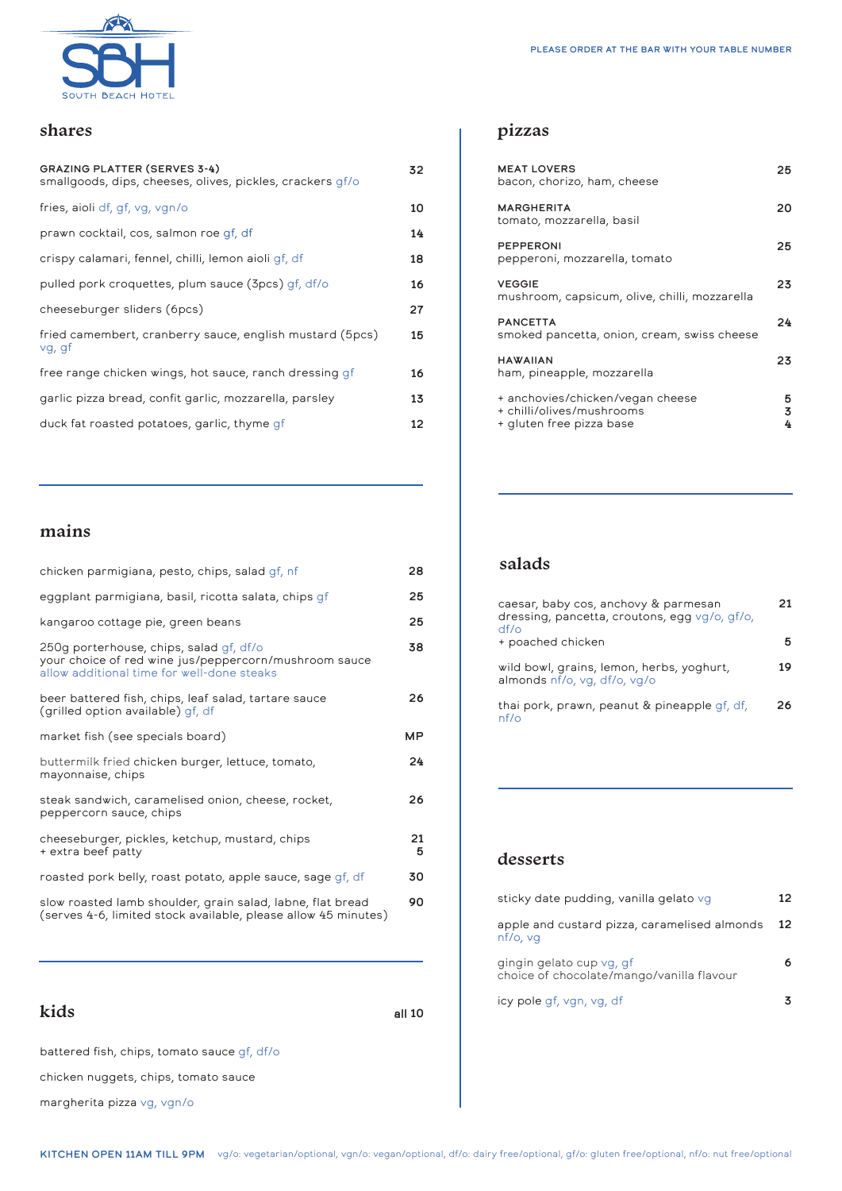

#### **shares**

| <b>GRAZING PLATTER (SERVES 3-4)</b><br>smallgoods, dips, cheeses, olives, pickles, crackers qf/o | 32 |
|--------------------------------------------------------------------------------------------------|----|
| fries, aioli df, qf, vq, vqn/o                                                                   | 10 |
| prawn cocktail, cos, salmon roe qf, df                                                           | 14 |
| crispy calamari, fennel, chilli, lemon aioli qf, df                                              | 18 |
| pulled pork croquettes, plum sauce (3pcs) gf, df/o                                               | 16 |
| cheeseburger sliders (6pcs)                                                                      | 27 |
| fried camembert, cranberry sauce, english mustard (5pcs)<br>vg, gf                               | 15 |
| free range chicken wings, hot sauce, ranch dressing qf                                           | 16 |
| garlic pizza bread, confit garlic, mozzarella, parsley                                           | 13 |
| duck fat roasted potatoes, garlic, thyme qf                                                      | 12 |

## **mains**

| chicken parmigiana, pesto, chips, salad gf, nf                                                                                                 | 28      |
|------------------------------------------------------------------------------------------------------------------------------------------------|---------|
| eggplant parmigiana, basil, ricotta salata, chips qf                                                                                           | 25      |
| kangaroo cottage pie, green beans                                                                                                              | 25      |
| 250g porterhouse, chips, salad gf, df/o<br>your choice of red wine jus/peppercorn/mushroom sauce<br>allow additional time for well-done steaks | 38      |
| beer battered fish, chips, leaf salad, tartare sauce<br>(grilled option available) gf, df                                                      | 26      |
| market fish (see specials board)                                                                                                               | MP.     |
| buttermilk fried chicken burger, lettuce, tomato,<br>mayonnaise, chips                                                                         | 24      |
| steak sandwich, caramelised onion, cheese, rocket,<br>peppercorn sauce, chips                                                                  | 26      |
| cheeseburger, pickles, ketchup, mustard, chips<br>+ extra beef patty                                                                           | 21<br>5 |
| roasted pork belly, roast potato, apple sauce, sage gf, df                                                                                     | 30      |
| slow roasted lamb shoulder, grain salad, labne, flat bread<br>(serves 4-6, limited stock available, please allow 45 minutes)                   | 90      |

**kids**

all 10

battered fish, chips, tomato sauce gf, df/o

chicken nuggets, chips, tomato sauce

margherita pizza vg, vgn/o

# **pizzas**

| <b>MEAT LOVERS</b><br>bacon, chorizo, ham, cheese                                         | 25          |
|-------------------------------------------------------------------------------------------|-------------|
| <b>MARGHERITA</b><br>tomato, mozzarella, basil                                            | 20          |
| PEPPERONI<br>pepperoni, mozzarella, tomato                                                | 25          |
| <b>VEGGIE</b><br>mushroom, capsicum, olive, chilli, mozzarella                            | 23          |
| <b>PANCETTA</b><br>smoked pancetta, onion, cream, swiss cheese                            | 24          |
| <b>HAWAIIAN</b><br>ham, pineapple, mozzarella                                             | 23          |
| + anchovies/chicken/vegan cheese<br>+ chilli/olives/mushrooms<br>+ gluten free pizza base | 5<br>3<br>4 |

#### **salads**

| caesar, baby cos, anchovy & parmesan<br>dressing, pancetta, croutons, egg vg/o, gf/o,<br>$df$ o | 21 |
|-------------------------------------------------------------------------------------------------|----|
| + poached chicken                                                                               |    |
| wild bowl, grains, lemon, herbs, yoghurt,<br>almonds nf/o, vg, df/o, vg/o                       | 19 |
| thai pork, prawn, peanut & pineapple qf, df,<br>nf/o                                            | 26 |

#### **desserts**

| sticky date pudding, vanilla gelato vg                                | 12 |
|-----------------------------------------------------------------------|----|
| apple and custard pizza, caramelised almonds<br>nf/o, va              | 12 |
| gingin gelato cup vg, gf<br>choice of chocolate/mango/vanilla flavour | 6. |
| icy pole qf, vgn, vg, df                                              |    |